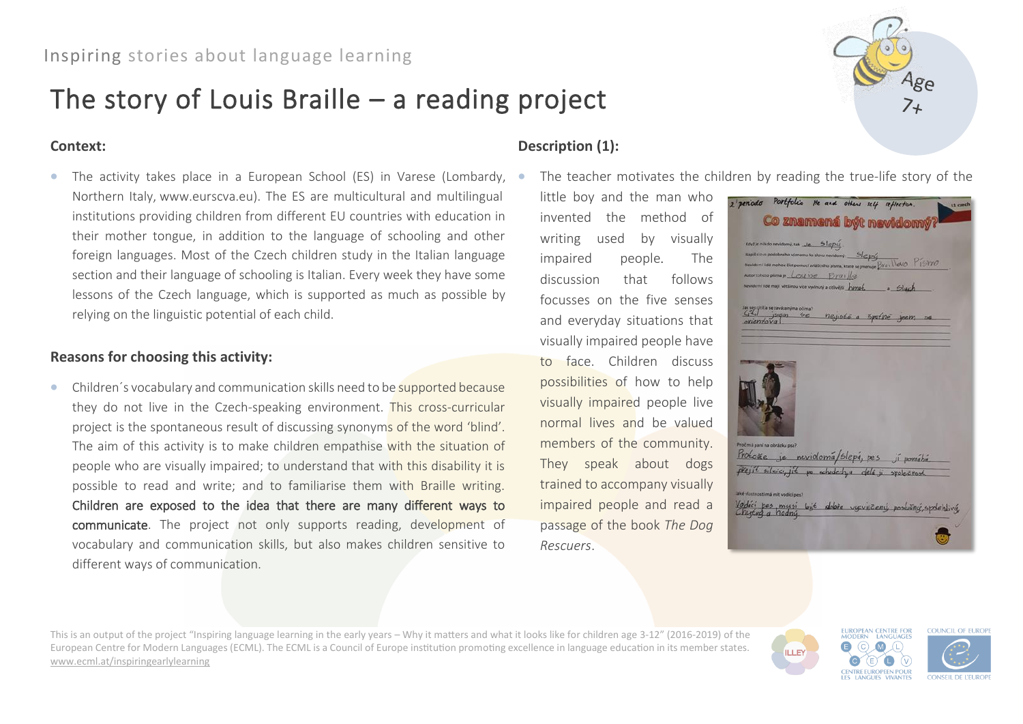# The story of Louis Braille – a reading project

## **Context:**

• The activity takes place in a European School (ES) in Varese (Lombardy, Northern Italy, www.eurscva.eu). The ES are multicultural and multilingual institutions providing children from different EU countries with education in their mother tongue, in addition to the language of schooling and other foreign languages. Most of the Czech children study in the Italian language section and their language of schooling is Italian. Every week they have some lessons of the Czech language, which is supported as much as possible by relying on the linguistic potential of each child.

## **Reasons for choosing this activity:**

• Children's vocabulary and communication skills need to be supported because they do not live in the Czech-speaking environment. This cross-curricular project is the spontaneous result of discussing synonyms of the word 'blind'. The aim of this activity is to make children empathise with the situation of people who are visually impaired; to understand that with this disability it is possible to read and write; and to familiarise them with Braille writing. Children are exposed to the idea that there are many different ways to communicate. The project not only supports reading, development of vocabulary and communication skills, but also makes children sensitive to different ways of communication.

# **Description (1):**

The teacher motivates the children by reading the true-life story of the

little boy and the man who invented the method of writing used by visually impaired people. The discussion that follows focusses on the five senses and everyday situations that visually impaired people have to face. Children discuss possibilities of how to help visually impaired people live normal lives and be valued members of the community. They speak about dogs trained to accompany visually impaired people and read a passage of the book *The Dog Rescuers*.